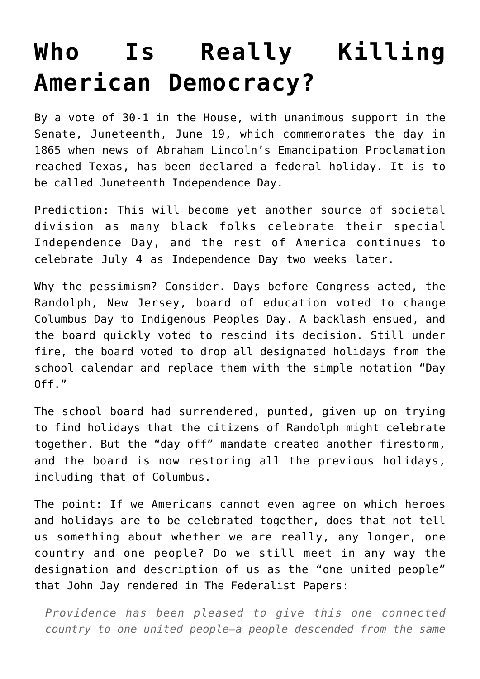## **[Who Is Really Killing](https://intellectualtakeout.org/2021/06/who-is-really-killing-american-democracy/) [American Democracy?](https://intellectualtakeout.org/2021/06/who-is-really-killing-american-democracy/)**

By a vote of 30-1 in the House, with unanimous support in the Senate, Juneteenth, June 19, which commemorates the day in 1865 when news of Abraham Lincoln's Emancipation Proclamation reached Texas, has been declared a federal holiday. It is to be called Juneteenth Independence Day.

Prediction: This will become yet another source of societal division as many black folks celebrate their special Independence Day, and the rest of America continues to celebrate July 4 as Independence Day two weeks later.

Why the pessimism? Consider. Days before Congress acted, the Randolph, New Jersey, board of education voted to change Columbus Day to Indigenous Peoples Day. A backlash ensued, and the board quickly voted to rescind its decision. Still under fire, the board voted to drop all designated holidays from the school calendar and replace them with the simple notation "Day  $0ff.$ "

The school board had surrendered, punted, given up on trying to find holidays that the citizens of Randolph might celebrate together. But the "day off" mandate created another firestorm, and the board is now restoring all the previous holidays, including that of Columbus.

The point: If we Americans cannot even agree on which heroes and holidays are to be celebrated together, does that not tell us something about whether we are really, any longer, one country and one people? Do we still meet in any way the designation and description of us as the "one united people" that John Jay rendered in The Federalist Papers:

*Providence has been pleased to give this one connected country to one united people—a people descended from the same*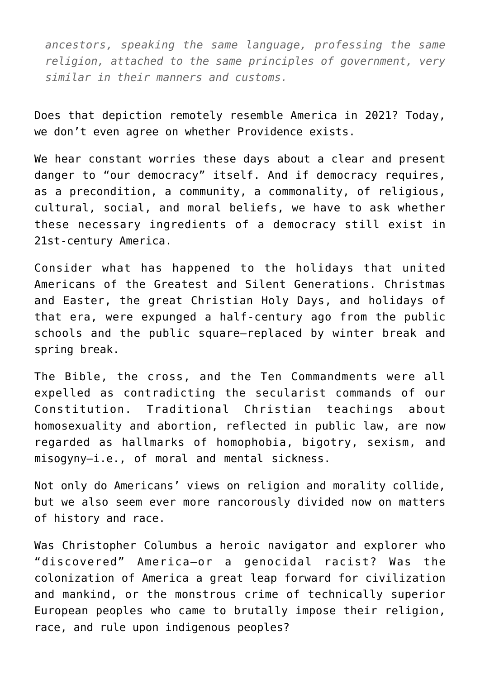*ancestors, speaking the same language, professing the same religion, attached to the same principles of government, very similar in their manners and customs.* 

Does that depiction remotely resemble America in 2021? Today, we don't even agree on whether Providence exists.

We hear constant worries these days about a clear and present danger to "our democracy" itself. And if democracy requires, as a precondition, a community, a commonality, of religious, cultural, social, and moral beliefs, we have to ask whether these necessary ingredients of a democracy still exist in 21st-century America.

Consider what has happened to the holidays that united Americans of the Greatest and Silent Generations. Christmas and Easter, the great Christian Holy Days, and holidays of that era, were expunged a half-century ago from the public schools and the public square—replaced by winter break and spring break.

The Bible, the cross, and the Ten Commandments were all expelled as contradicting the secularist commands of our Constitution. Traditional Christian teachings about homosexuality and abortion, reflected in public law, are now regarded as hallmarks of homophobia, bigotry, sexism, and misogyny—i.e., of moral and mental sickness.

Not only do Americans' views on religion and morality collide, but we also seem ever more rancorously divided now on matters of history and race.

Was Christopher Columbus a heroic navigator and explorer who "discovered" America—or a genocidal racist? Was the colonization of America a great leap forward for civilization and mankind, or the monstrous crime of technically superior European peoples who came to brutally impose their religion, race, and rule upon indigenous peoples?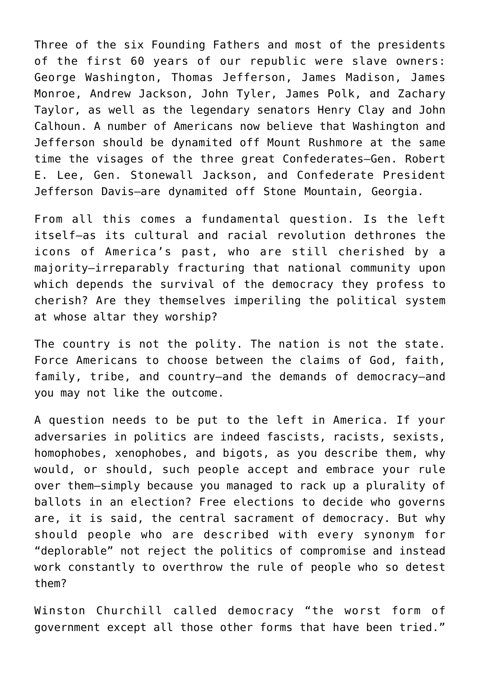Three of the six Founding Fathers and most of the presidents of the first 60 years of our republic were slave owners: George Washington, Thomas Jefferson, James Madison, James Monroe, Andrew Jackson, John Tyler, James Polk, and Zachary Taylor, as well as the legendary senators Henry Clay and John Calhoun. A number of Americans now believe that Washington and Jefferson should be dynamited off Mount Rushmore at the same time the visages of the three great Confederates—Gen. Robert E. Lee, Gen. Stonewall Jackson, and Confederate President Jefferson Davis—are dynamited off Stone Mountain, Georgia.

From all this comes a fundamental question. Is the left itself—as its cultural and racial revolution dethrones the icons of America's past, who are still cherished by a majority—irreparably fracturing that national community upon which depends the survival of the democracy they profess to cherish? Are they themselves imperiling the political system at whose altar they worship?

The country is not the polity. The nation is not the state. Force Americans to choose between the claims of God, faith, family, tribe, and country—and the demands of democracy—and you may not like the outcome.

A question needs to be put to the left in America. If your adversaries in politics are indeed fascists, racists, sexists, homophobes, xenophobes, and bigots, as you describe them, why would, or should, such people accept and embrace your rule over them—simply because you managed to rack up a plurality of ballots in an election? Free elections to decide who governs are, it is said, the central sacrament of democracy. But why should people who are described with every synonym for "deplorable" not reject the politics of compromise and instead work constantly to overthrow the rule of people who so detest them?

Winston Churchill called democracy "the worst form of government except all those other forms that have been tried."